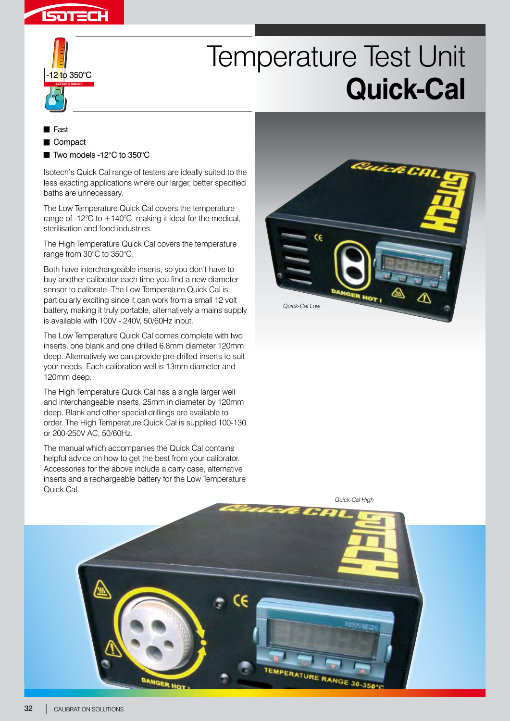



## Temperature Test Unit **Quick-Cal**

**Fast** Compact ■ Two models -12°C to 350°C

Isotech's Quick Cal range of testers are ideally suited to the less exacting applications where our larger, better specified baths are unnecessary.

The Low Temperature Quick Cal covers the temperature range of -12 $\degree$ C to +140 $\degree$ C, making it ideal for the medical, sterilisation and food industries.

The High Temperature Quick Cal covers the temperature range from 30°C to 350°C.

Both have interchangeable inserts, so you don't have to buy another calibrator each time you find a new diameter sensor to calibrate. The Low Temperature Quick Cal is particularly exciting since it can work from a small 12 volt battery, making it truly portable, alternatively a mains supply is available with 100V - 240V, 50/60Hz input.

The Low Temperature Quick Cal comes complete with two inserts, one blank and one drilled 6.8mm diameter 120mm deep. Alternatively we can provide pre-drilled inserts to suit your needs. Each calibration well is 13mm diameter and 120mm deep.

The High Temperature Quick Cal has a single larger well and interchangeable inserts, 25mm in diameter by 120mm deep. Blank and other special drillings are available to order. The High Temperature Quick Cal is supplied 100-130 or 200-250V AC, 50/60Hz.

The manual which accompanies the Quick Cal contains helpful advice on how to get the best from your calibrator. Accessories for the above include a carry case, alternative inserts and a rechargeable battery for the Low Temperature Quick Cal.